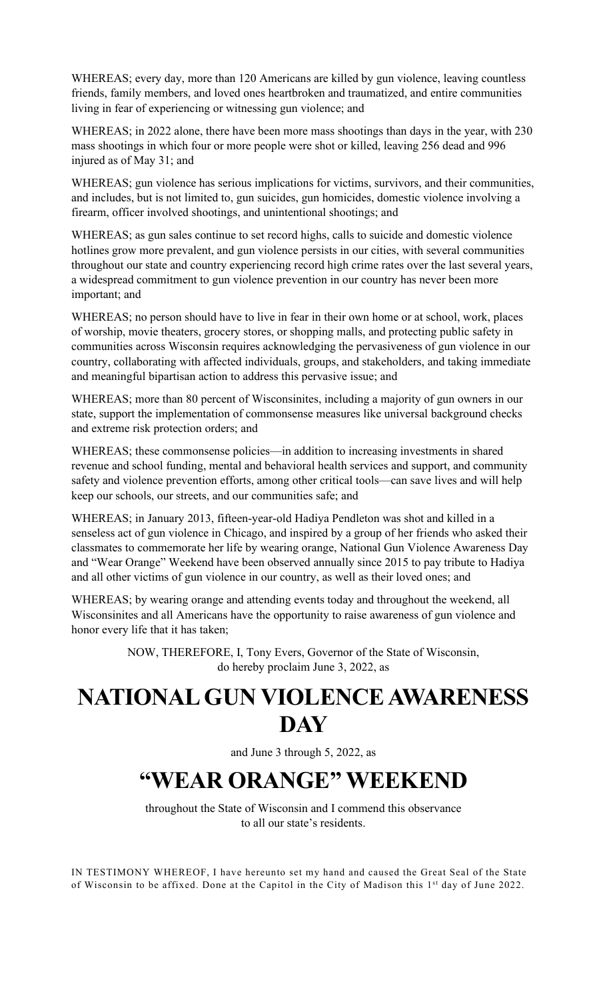WHEREAS; every day, more than 120 Americans are killed by gun violence, leaving countless friends, family members, and loved ones heartbroken and traumatized, and entire communities living in fear of experiencing or witnessing gun violence; and

WHEREAS; in 2022 alone, there have been more mass shootings than days in the year, with 230 mass shootings in which four or more people were shot or killed, leaving 256 dead and 996 injured as of May 31; and

WHEREAS; gun violence has serious implications for victims, survivors, and their communities, and includes, but is not limited to, gun suicides, gun homicides, domestic violence involving a firearm, officer involved shootings, and unintentional shootings; and

WHEREAS; as gun sales continue to set record highs, calls to suicide and domestic violence hotlines grow more prevalent, and gun violence persists in our cities, with several communities throughout our state and country experiencing record high crime rates over the last several years, a widespread commitment to gun violence prevention in our country has never been more important; and

WHEREAS; no person should have to live in fear in their own home or at school, work, places of worship, movie theaters, grocery stores, or shopping malls, and protecting public safety in communities across Wisconsin requires acknowledging the pervasiveness of gun violence in our country, collaborating with affected individuals, groups, and stakeholders, and taking immediate and meaningful bipartisan action to address this pervasive issue; and

WHEREAS; more than 80 percent of Wisconsinites, including a majority of gun owners in our state, support the implementation of commonsense measures like universal background checks and extreme risk protection orders; and

WHEREAS; these commonsense policies—in addition to increasing investments in shared revenue and school funding, mental and behavioral health services and support, and community safety and violence prevention efforts, among other critical tools—can save lives and will help keep our schools, our streets, and our communities safe; and

WHEREAS; in January 2013, fifteen-year-old Hadiya Pendleton was shot and killed in a senseless act of gun violence in Chicago, and inspired by a group of her friends who asked their classmates to commemorate her life by wearing orange, National Gun Violence Awareness Day and "Wear Orange" Weekend have been observed annually since 2015 to pay tribute to Hadiya and all other victims of gun violence in our country, as well as their loved ones; and

WHEREAS; by wearing orange and attending events today and throughout the weekend, all Wisconsinites and all Americans have the opportunity to raise awareness of gun violence and honor every life that it has taken;

> NOW, THEREFORE, I, Tony Evers, Governor of the State of Wisconsin, do hereby proclaim June 3, 2022, as

## **NATIONAL GUN VIOLENCE AWARENESS DAY**

and June 3 through 5, 2022, as

## **"WEAR ORANGE" WEEKEND**

throughout the State of Wisconsin and I commend this observance to all our state's residents.

IN TESTIMONY WHEREOF, I have hereunto set my hand and caused the Great Seal of the State of Wisconsin to be affixed. Done at the Capitol in the City of Madison this 1st day of June 2022.